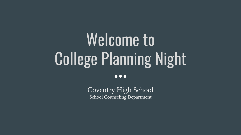# Welcome to College Planning Night

 $\bullet\bullet\bullet$ 

Coventry High School School Counseling Department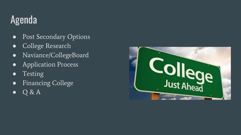# Agenda

- Post Secondary Options
- College Research
- Naviance/CollegeBoard
- Application Process
- Testing
- Financing College
- $\bullet$  Q & A

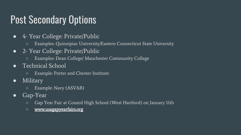# Post Secondary Options

- 4- Year College: Private/Public
	- Examples: Quinnipiac University/Eastern Connecticut State University
- 2- Year College: Private/Public
	- Examples: Dean College/ Manchester Community College
- Technical School
	- Example: Porter and Chester Institute
- Military
	- Example: Navy (ASVAB)
- Gap-Year
	- Gap Year Fair at Conard High School (West Hartford) on January 11th
	- **○** [www.usagapyearfairs.org](http://www.usagapyearfairs.org)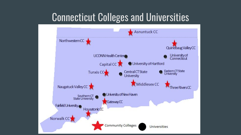### Connecticut Colleges and Universities

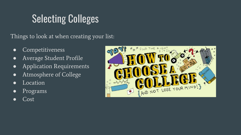# Selecting Colleges

Things to look at when creating your list:

- Competitiveness
- Average Student Profile
- Application Requirements
- Atmosphere of College
- Location
- Programs
- Cost

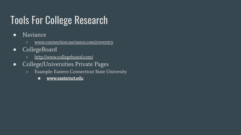# Tools For College Research

- Naviance
	- [www.connection.naviance.com/coventry](http://www.connection.naviance.com/coventry)
- CollegeBoard
	- <http://www.collegeboard.com/>
- College/Universities Private Pages
	- Example: Eastern Connecticut State University
		- **■** [www.easternct.edu](http://www.easternct.edu)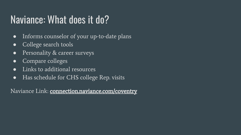# Naviance: What does it do?

- Informs counselor of your up-to-date plans
- College search tools
- Personality & career surveys
- Compare colleges
- Links to additional resources
- Has schedule for CHS college Rep. visits

Naviance Link: **connection.naviance.com/coventry**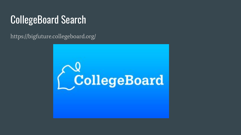# CollegeBoard Search

https://bigfuture.collegeboard.org/

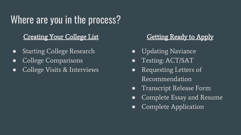# Where are you in the process?

### Creating Your College List

- Starting College Research
- College Comparisons
- College Visits & Interviews

### Getting Ready to Apply

- Updating Naviance
- Testing: ACT/SAT
- Requesting Letters of Recommendation
- Transcript Release Form
- Complete Essay and Resume
- Complete Application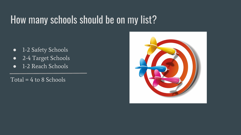### How many schools should be on my list?

- 1-2 Safety Schools
- 2-4 Target Schools
- 1-2 Reach Schools

 $Total = 4$  to 8 Schools

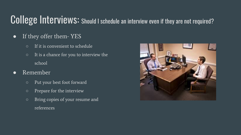### College Interviews: Should I schedule an interview even if they are not required?

- If they offer them- YES
	- If it is convenient to schedule
	- It is a chance for you to interview the school
- Remember
	- Put your best foot forward
	- Prepare for the interview
	- Bring copies of your resume and references

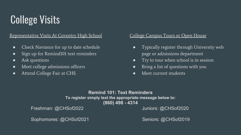# College Visits

### Representative Visits At Coventry High School

- Check Naviance for up to date schedule
- Sign up for Remind101 text reminders
- Ask questions
- Meet college admissions officers
- Attend College Fair at CHS

### College Campus Tours or Open House

- Typically register through University web page or admissions department
- Try to tour when school is in session
- Bring a list of questions with you
- Meet current students

### **Remind 101: Text Reminders To register simply text the appropriate message below to: (860) 498 - 4314**

Freshman: @CHSof2022 Juniors: @CHSof2020

Sophomores: @CHSof2021 Seniors: @CHSof2019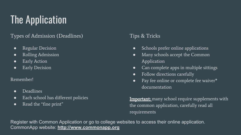# The Application

### Types of Admission (Deadlines)

- Regular Decision
- Rolling Admission
- Early Action
- Early Decision

### Remember!

- Deadlines
- Each school has different policies
- Read the "fine print"

### Tips & Tricks

- Schools prefer online applications
- Many schools accept the Common Application
- Can complete apps in multiple sittings
- Follow directions carefully
- Pay fee online or complete fee waiver\* documentation

**Important:** many school require supplements with the common application, carefully read all requirements

Register with Common Application or go to college websites to access their online application. CommonApp website: **<http://www.commonapp.org>**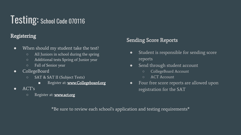# Testing: School Code 070116

### Registering

- When should my student take the test?
	- All Juniors in school during the spring
	- Additional tests Spring of Junior year
	- Fall of Senior year
- CollegeBoard
	- SAT & SAT II (Subject Tests)
		- Register at: www.Collegeboard.org
- $\bullet$  ACT's
	- Register at: [www.act.org](http://www.act.org)

### Sending Score Reports

- Student is responsible for sending score reports
- Send through student account
	- CollegeBoard Account
	- ACT Account
- Four free score reports are allowed upon registration for the SAT

\*Be sure to review each school's application and testing requirements\*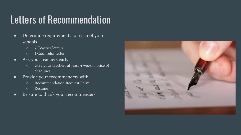# Letters of Recommendation

- Determine requirements for each of your schools
	- 2 Teacher letters
	- 1 Counselor letter
- Ask your teachers early
	- Give your teachers at least 4 weeks notice of deadlines!
- Provide your recommenders with:
	- Recommendation Request Form
	- Resume
- Be sure to thank your recommenders!

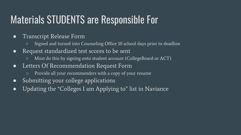# Materials STUDENTS are Responsible For

- Transcript Release Form
	- Signed and turned into Counseling Office 10 school days prior to deadline
- Request standardized test scores to be sent
	- Must do this by signing onto student account (CollegeBoard or ACT)
- Letters Of Recommendation Request Form
	- Provide all your recommenders with a copy of your resume
- Submitting your college applications
- Updating the "Colleges I am Applying to" list in Naviance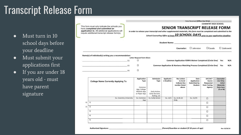### Transcript Release Form

- Must turn in 10 school days before your deadline
- Must submit your applications first
- If you are under 18 years old - must have parent signature

This form must only indicate the schools you have completed and submitted an application to. All additional applications will require additional transcript release form(s).

Date Received (Office Use Only)

**COVENTRY HIGH SCHOOL** 

#### **SENIOR TRANSCRIPT RELEASE FORM**

In order to release your transcript and other supplemental materials, this form must be completed and submitted to the

School Counseling Office at least 10 SCHOOL DAYS prior to your application deadline.

**Student Name:** 

Counselor:  $\Box$  Johnston  $\Box$ Casale  $\square$  Zadrowski

#### Name(s) of individual(s) writing you a recommendation:



Common Application FERPA Waiver Completed (Circle One) Yes  $N/A$ Common Application & Naviance Matching Process Completed (Circle One) Yes  $N/A$ 

|  | <b>College Name Currently Applying To</b> | Application<br><b>Type</b><br>Common<br>App, College<br>Website App<br>or Paper App | Admission<br>Type<br>Early Action,<br>Early Decision,<br>Rolling, etc. | Applicatio<br>n Deadline | <b>Rec</b> Letters<br>to Send-<br>Indicate line<br>number listed<br>above | Date<br>Application<br>Submitted by<br>Student | SAT/ACT<br>Scores<br>Requested<br>from Testing<br>Agency | Counselor<br>Use Only:<br>Initial<br><b>Materials</b><br><b>Date Sent</b><br>(E or M) |
|--|-------------------------------------------|-------------------------------------------------------------------------------------|------------------------------------------------------------------------|--------------------------|---------------------------------------------------------------------------|------------------------------------------------|----------------------------------------------------------|---------------------------------------------------------------------------------------|
|  | Ex. Coventry University                   | Ex. Common<br>App                                                                   | Ex. Early Action                                                       | Ex. 12/1                 | Ex. $[1]$ & $[2]$<br>Only                                                 | Ex. 11/15                                      | п                                                        |                                                                                       |
|  | $1)$ 1)                                   |                                                                                     |                                                                        |                          |                                                                           |                                                | О                                                        |                                                                                       |
|  | $2)$ $2)$                                 |                                                                                     |                                                                        |                          |                                                                           |                                                | о                                                        |                                                                                       |
|  | 3)                                        |                                                                                     |                                                                        |                          |                                                                           |                                                | п                                                        |                                                                                       |
|  | 4)                                        |                                                                                     |                                                                        |                          |                                                                           |                                                | О                                                        |                                                                                       |
|  | 5)                                        |                                                                                     |                                                                        |                          |                                                                           |                                                | α                                                        |                                                                                       |

 $\Box$ 

 $\Box$ 

 $\Box$ 

**Authorized Signature:**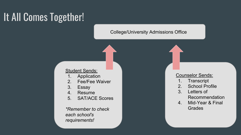# It All Comes Together!

### College/University Admissions Office

### Student Sends:

- 1. Application
- 2. Fee/Fee Waiver
- 3. Essay
- 4. Resume
- 5. SAT/ACE Scores

*\*Remember to check each school's requirements!*

#### Counselor Sends:

- 1. Transcript
- 2. School Profile
- 3. Letters of Recommendation
- 4. Mid-Year & Final Grades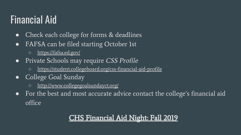### Financial Aid

- Check each college for forms & deadlines
- FAFSA can be filed starting October 1st
	- <https://fafsa.ed.gov/>
- Private Schools may require CSS Profile
	- <https://student.collegeboard.org/css-financial-aid-profile>
- College Goal Sunday
	- <http://www.collegegoalsundayct.org/>
- For the best and most accurate advice contact the college's financial aid office

### CHS Financial Aid Night: Fall 2019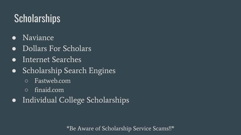# **Scholarships**

- Naviance
- Dollars For Scholars
- Internet Searches
- Scholarship Search Engines
	- Fastweb.com
	- finaid.com
- Individual College Scholarships

\*Be Aware of Scholarship Service Scams!!\*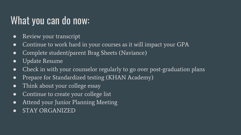# What you can do now:

- Review your transcript
- Continue to work hard in your courses as it will impact your GPA
- Complete student/parent Brag Sheets (Naviance)
- Update Resume
- Check in with your counselor regularly to go over post-graduation plans
- Prepare for Standardized testing (KHAN Academy)
- Think about your college essay
- Continue to create your college list
- Attend your Junior Planning Meeting
- STAY ORGANIZED